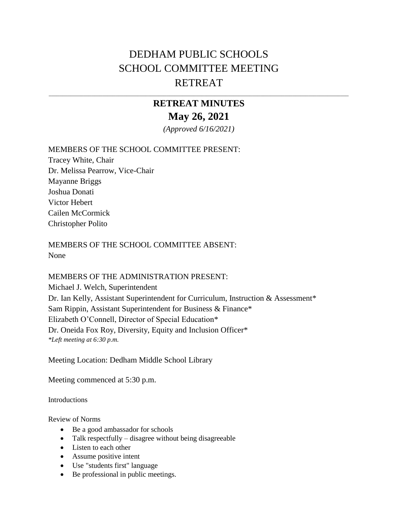## DEDHAM PUBLIC SCHOOLS SCHOOL COMMITTEE MEETING RETREAT

## **RETREAT MINUTES May 26, 2021**

\_\_\_\_\_\_\_\_\_\_\_\_\_\_\_\_\_\_\_\_\_\_\_\_\_\_\_\_\_\_\_\_\_\_\_\_\_\_\_\_\_\_\_\_\_\_\_\_\_\_\_\_\_\_\_\_\_\_\_\_\_\_\_\_\_\_\_\_\_\_\_\_\_\_\_\_\_\_\_\_\_\_\_\_\_\_\_\_\_\_\_\_\_\_\_\_\_\_\_\_\_\_\_\_\_\_\_\_\_\_\_\_

*(Approved 6/16/2021)*

## MEMBERS OF THE SCHOOL COMMITTEE PRESENT:

Tracey White, Chair Dr. Melissa Pearrow, Vice-Chair Mayanne Briggs Joshua Donati Victor Hebert Cailen McCormick Christopher Polito

MEMBERS OF THE SCHOOL COMMITTEE ABSENT: None

## MEMBERS OF THE ADMINISTRATION PRESENT:

Michael J. Welch, Superintendent Dr. Ian Kelly, Assistant Superintendent for Curriculum, Instruction & Assessment\* Sam Rippin, Assistant Superintendent for Business & Finance\* Elizabeth O'Connell, Director of Special Education\* Dr. Oneida Fox Roy, Diversity, Equity and Inclusion Officer\* *\*Left meeting at 6:30 p.m.*

Meeting Location: Dedham Middle School Library

Meeting commenced at 5:30 p.m.

**Introductions** 

Review of Norms

- Be a good ambassador for schools
- Talk respectfully disagree without being disagreeable
- Listen to each other
- Assume positive intent
- Use "students first" language
- Be professional in public meetings.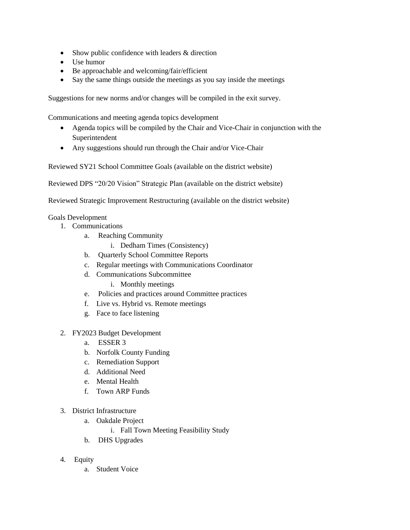- Show public confidence with leaders & direction
- Use humor
- Be approachable and welcoming/fair/efficient
- Say the same things outside the meetings as you say inside the meetings

Suggestions for new norms and/or changes will be compiled in the exit survey.

Communications and meeting agenda topics development

- Agenda topics will be compiled by the Chair and Vice-Chair in conjunction with the Superintendent
- Any suggestions should run through the Chair and/or Vice-Chair

Reviewed SY21 School Committee Goals (available on the district website)

Reviewed DPS "20/20 Vision" Strategic Plan (available on the district website)

Reviewe[d Strategic Improvement Restructuring](https://drive.google.com/open?id=0B6ehFhwSwmXcTUVtTVdoQVMyTWc) (available on the district website)

Goals Development

- 1. Communications
	- a. Reaching Community
		- i. Dedham Times (Consistency)
	- b. Quarterly School Committee Reports
	- c. Regular meetings with Communications Coordinator
	- d. Communications Subcommittee
		- i. Monthly meetings
	- e. Policies and practices around Committee practices
	- f. Live vs. Hybrid vs. Remote meetings
	- g. Face to face listening
- 2. FY2023 Budget Development
	- a. ESSER 3
	- b. Norfolk County Funding
	- c. Remediation Support
	- d. Additional Need
	- e. Mental Health
	- f. Town ARP Funds
- 3. District Infrastructure
	- a. Oakdale Project
		- i. Fall Town Meeting Feasibility Study
	- b. DHS Upgrades
- 4. Equity
	- a. Student Voice